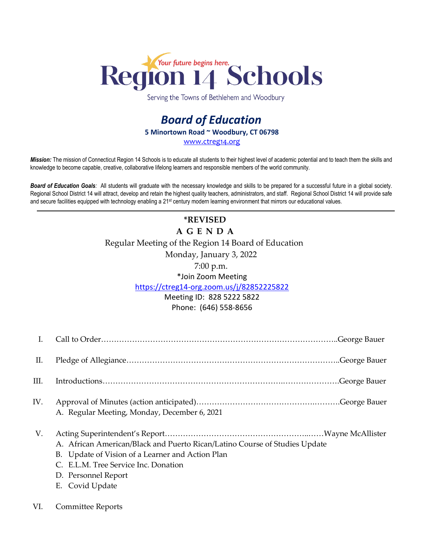

Serving the Towns of Bethlehem and Woodbury

## *Board of Education* **5 Minortown Road ~ Woodbury, CT 06798** [www.ctreg14.org](http://www.ctreg14.org/)

*Mission:* The mission of Connecticut Region 14 Schools is to educate all students to their highest level of academic potential and to teach them the skills and knowledge to become capable, creative, collaborative lifelong learners and responsible members of the world community.

*Board of Education Goals:* All students will graduate with the necessary knowledge and skills to be prepared for a successful future in a global society. Regional School District 14 will attract, develop and retain the highest quality teachers, administrators, and staff. Regional School District 14 will provide safe and secure facilities equipped with technology enabling a 21<sup>st</sup> century modern learning environment that mirrors our educational values.

## **\*REVISED A G E N D A** Regular Meeting of the Region 14 Board of Education Monday, January 3, 2022 7:00 p.m. \*Join Zoom Meeting <https://ctreg14-org.zoom.us/j/82852225822> Meeting ID: 828 5222 5822 Phone: (646) 558-8656

| L.  |                                                                                                                                                                                                                  |
|-----|------------------------------------------------------------------------------------------------------------------------------------------------------------------------------------------------------------------|
| П.  |                                                                                                                                                                                                                  |
| Ш.  | .George Bauer                                                                                                                                                                                                    |
| IV. | A. Regular Meeting, Monday, December 6, 2021                                                                                                                                                                     |
| V.  | A. African American/Black and Puerto Rican/Latino Course of Studies Update<br>B. Update of Vision of a Learner and Action Plan<br>C. E.L.M. Tree Service Inc. Donation<br>D. Personnel Report<br>E. Covid Update |

VI. Committee Reports